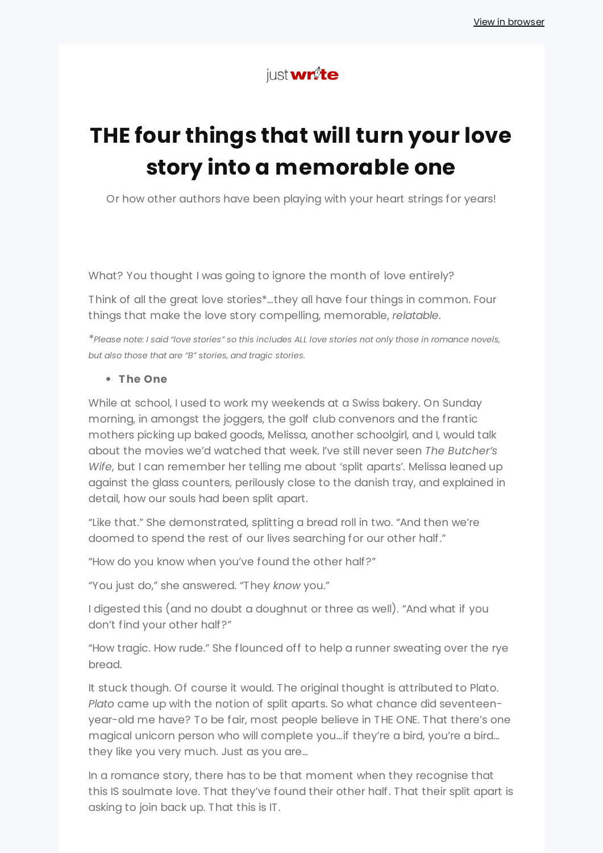# just**wr**te

# **THE four things that will turn your love story into a memorable one**

Or how other authors have been playing with your heart strings for years!

What? You thought I was going to ignore the month of love entirely?

Think of all the great love stories\*…they all have four things in common. Four things that make the love story compelling, memorable, *relatable*.

\*Please note: I said "love stories" so this includes ALL love stories not only those in romance novels. *but also those that are "B" stories, and tragic stories.*

#### **The One**

While at school, I used to work my weekends at a Swiss bakery. On Sunday morning, in amongst the joggers, the golf club convenors and the frantic mothers picking up baked goods, Melissa, another schoolgirl, and I, would talk about the movies we'd watched that week. I've still never seen *The Butcher's Wife*, but I can remember her telling me about 'split aparts'. Melissa leaned up against the glass counters, perilously close to the danish tray, and explained in detail, how our souls had been split apart.

"Like that." She demonstrated, splitting a bread roll in two. "And then we're doomed to spend the rest of our lives searching for our other half."

"How do you know when you've found the other half?"

"You just do," she answered. "They *know* you."

I digested this (and no doubt a doughnut or three as well). "And what if you don't find your other half?"

"How tragic. How rude." She flounced off to help a runner sweating over the rye bread.

It stuck though. Of course it would. The original thought is attributed to Plato. *Plato* came up with the notion of split aparts. So what chance did seventeenyear-old me have? To be fair, most people believe in THE ONE. That there's one magical unicorn person who will complete you…if they're a bird, you're a bird… they like you very much. Just as you are…

In a romance story, there has to be that moment when they recognise that this IS soulmate love. That they've found their other half. That their split apart is asking to join back up. That this is IT.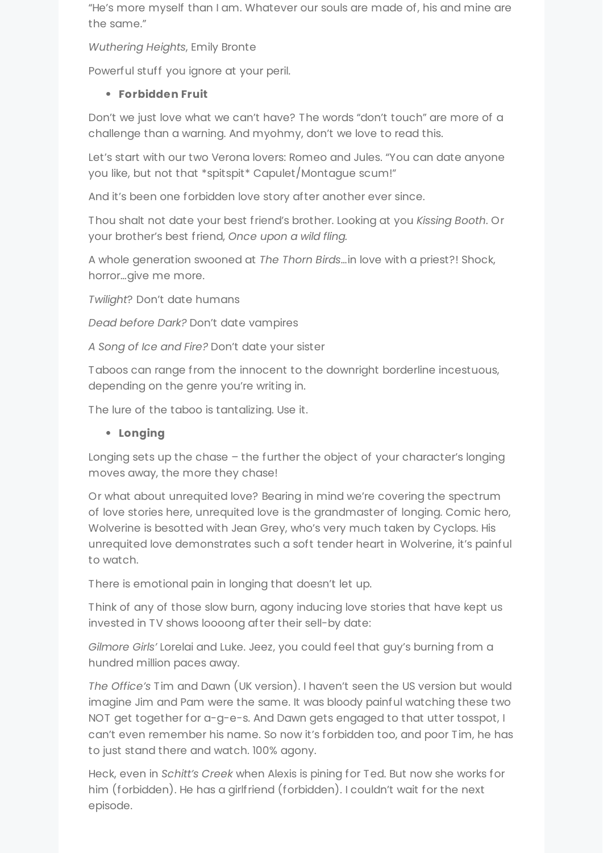"He's more myself than I am. Whatever our souls are made of, his and mine are the same."

*Wuthering Heights*, Emily Bronte

Powerful stuff you ignore at your peril.

## **Forbidden Fruit**

Don't we just love what we can't have? The words "don't touch" are more of a challenge than a warning. And myohmy, don't we love to read this.

Let's start with our two Verona lovers: Romeo and Jules. "You can date anyone you like, but not that \*spitspit\* Capulet/Montague scum!"

And it's been one forbidden love story after another ever since.

Thou shalt not date your best friend's brother. Looking at you *Kissing Booth*. Or your brother's best friend, *Once upon a wild fling.*

A whole generation swooned at *The Thorn Birds*…in love with a priest?! Shock, horror…give me more.

*Twilight*? Don't date humans

*Dead before Dark?* Don't date vampires

*A Song of Ice and Fire?* Don't date your sister

Taboos can range from the innocent to the downright borderline incestuous, depending on the genre you're writing in.

The lure of the taboo is tantalizing. Use it.

# **Longing**

Longing sets up the chase – the further the object of your character's longing moves away, the more they chase!

Or what about unrequited love? Bearing in mind we're covering the spectrum of love stories here, unrequited love is the grandmaster of longing. Comic hero, Wolverine is besotted with Jean Grey, who's very much taken by Cyclops. His unrequited love demonstrates such a soft tender heart in Wolverine, it's painful to watch.

There is emotional pain in longing that doesn't let up.

Think of any of those slow burn, agony inducing love stories that have kept us invested in TV shows loooong after their sell-by date:

*Gilmore Girls'* Lorelai and Luke. Jeez, you could feel that guy's burning from a hundred million paces away.

*The Office's* Tim and Dawn (UK version). I haven't seen the US version but would imagine Jim and Pam were the same. It was bloody painful watching these two NOT get together for a-g-e-s. And Dawn gets engaged to that utter tosspot, I can't even remember his name. So now it's forbidden too, and poor Tim, he has to just stand there and watch. 100% agony.

Heck, even in *Schitt's Creek* when Alexis is pining for Ted. But now she works for him (forbidden). He has a girlfriend (forbidden). I couldn't wait for the next episode.